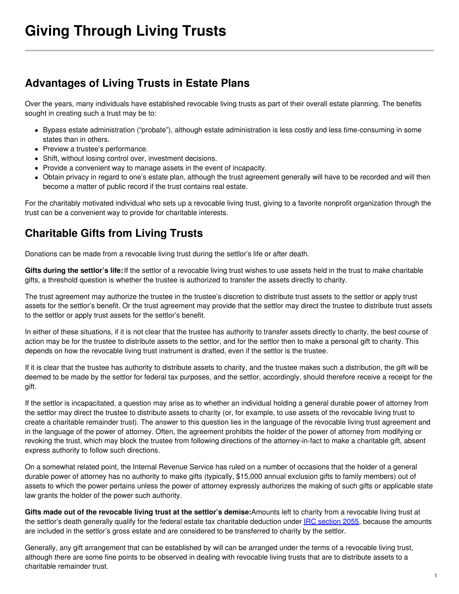# **Advantages of Living Trusts in Estate Plans**

Over the years, many individuals have established revocable living trusts as part of their overall estate planning. The benefits sought in creating such a trust may be to:

- Bypass estate administration ("probate"), although estate administration is less costly and less time-consuming in some states than in others.
- Preview a trustee's performance.
- Shift, without losing control over, investment decisions.
- Provide a convenient way to manage assets in the event of incapacity.
- Obtain privacy in regard to one's estate plan, although the trust agreement generally will have to be recorded and will then become a matter of public record if the trust contains real estate.

For the charitably motivated individual who sets up a revocable living trust, giving to a favorite nonprofit organization through the trust can be a convenient way to provide for charitable interests.

## **Charitable Gifts from Living Trusts**

Donations can be made from a revocable living trust during the settlor's life or after death.

**Gifts during the settlor's life:**If the settlor of a revocable living trust wishes to use assets held in the trust to make charitable gifts, a threshold question is whether the trustee is authorized to transfer the assets directly to charity.

The trust agreement may authorize the trustee in the trustee's discretion to distribute trust assets to the settlor or apply trust assets for the settlor's benefit. Or the trust agreement may provide that the settlor may direct the trustee to distribute trust assets to the settlor or apply trust assets for the settlor's benefit.

In either of these situations, if it is not clear that the trustee has authority to transfer assets directly to charity, the best course of action may be for the trustee to distribute assets to the settlor, and for the settlor then to make a personal gift to charity. This depends on how the revocable living trust instrument is drafted, even if the settlor is the trustee.

If it is clear that the trustee has authority to distribute assets to charity, and the trustee makes such a distribution, the gift will be deemed to be made by the settlor for federal tax purposes, and the settlor, accordingly, should therefore receive a receipt for the gift.

If the settlor is incapacitated, a question may arise as to whether an individual holding a general durable power of attorney from the settlor may direct the trustee to distribute assets to charity (or, for example, to use assets of the revocable living trust to create a charitable remainder trust). The answer to this question lies in the language of the revocable living trust agreement and in the language of the power of attorney. Often, the agreement prohibits the holder of the power of attorney from modifying or revoking the trust, which may block the trustee from following directions of the attorney-in-fact to make a charitable gift, absent express authority to follow such directions.

On a somewhat related point, the Internal Revenue Service has ruled on a number of occasions that the holder of a general durable power of attorney has no authority to make gifts (typically, \$15,000 annual exclusion gifts to family members) out of assets to which the power pertains unless the power of attorney expressly authorizes the making of such gifts or applicable state law grants the holder of the power such authority.

**Gifts made out of the revocable living trust at the settlor's demise:**Amounts left to charity from a revocable living trust at the settlor's death generally qualify for the federal estate tax charitable deduction under IRC [section](https://www.law.cornell.edu/uscode/text/26/2055) 2055, because the amounts are included in the settlor's gross estate and are considered to be transferred to charity by the settlor.

Generally, any gift arrangement that can be established by will can be arranged under the terms of a revocable living trust, although there are some fine points to be observed in dealing with revocable living trusts that are to distribute assets to a charitable remainder trust.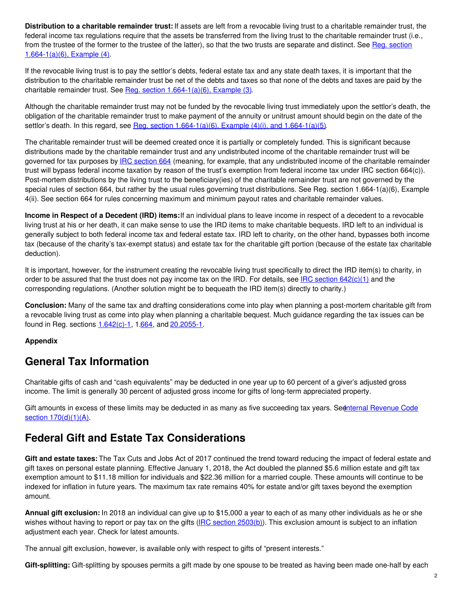**Distribution to a charitable remainder trust:** If assets are left from a revocable living trust to a charitable remainder trust, the federal income tax regulations require that the assets be transferred from the living trust to the charitable remainder trust (i.e., from the trustee of the former to the trustee of the latter), so that the two trusts are separate and distinct. See Reg. section [1.664-1\(a\)\(6\),](http://edocket.access.gpo.gov/cfr_2008/aprqtr/pdf/26cfr1.664-1.pdf) Example (4).

If the revocable living trust is to pay the settlor's debts, federal estate tax and any state death taxes, it is important that the distribution to the charitable remainder trust be net of the debts and taxes so that none of the debts and taxes are paid by the charitable remainder trust. See Reg. section [1.664-1\(a\)\(6\),](http://edocket.access.gpo.gov/cfr_2008/aprqtr/pdf/26cfr1.664-1.pdf) Example (3).

Although the charitable remainder trust may not be funded by the revocable living trust immediately upon the settlor's death, the obligation of the charitable remainder trust to make payment of the annuity or unitrust amount should begin on the date of the settlor's death. In this regard, see Reg. section  $1.664-1(a)(6)$ , Example  $(4)(i)$ , and  $1.664-1(a)(5)$ .

The charitable remainder trust will be deemed created once it is partially or completely funded. This is significant because distributions made by the charitable remainder trust and any undistributed income of the charitable remainder trust will be governed for tax purposes by **IRC** [section](https://www.law.cornell.edu/uscode/text/26/664) 664 (meaning, for example, that any undistributed income of the charitable remainder trust will bypass federal income taxation by reason of the trust's exemption from federal income tax under IRC section 664(c)). Post-mortem distributions by the living trust to the beneficiary(ies) of the charitable remainder trust are not governed by the special rules of section 664, but rather by the usual rules governing trust distributions. See Reg. section 1.664-1(a)(6), Example 4(ii). See section 664 for rules concerning maximum and minimum payout rates and charitable remainder values.

**Income in Respect of a Decedent (IRD) items:**If an individual plans to leave income in respect of a decedent to a revocable living trust at his or her death, it can make sense to use the IRD items to make charitable bequests. IRD left to an individual is generally subject to both federal income tax and federal estate tax. IRD left to charity, on the other hand, bypasses both income tax (because of the charity's tax-exempt status) and estate tax for the charitable gift portion (because of the estate tax charitable deduction).

It is important, however, for the instrument creating the revocable living trust specifically to direct the IRD item(s) to charity, in order to be assured that the trust does not pay income tax on the IRD. For details, see IRC section  $642(c)(1)$  and the corresponding regulations. (Another solution might be to bequeath the IRD item(s) directly to charity.)

**Conclusion:** Many of the same tax and drafting considerations come into play when planning a post-mortem charitable gift from a revocable living trust as come into play when planning a charitable bequest. Much guidance regarding the tax issues can be found in Reg. sections [1.642\(c\)-1](http://edocket.access.gpo.gov/cfr_2009/aprqtr/pdf/26cfr1.642(c)-1.pdf), 1[.664](http://edocket.access.gpo.gov/cfr_2008/aprqtr/pdf/26cfr1.664-1.pdf), and [20.2055-1](http://edocket.access.gpo.gov/cfr_2008/aprqtr/pdf/26cfr20.2055-1.pdf).

#### **Appendix**

### **General Tax Information**

Charitable gifts of cash and "cash equivalents" may be deducted in one year up to 60 percent of a giver's adjusted gross income. The limit is generally 30 percent of adjusted gross income for gifts of long-term appreciated property.

Gift amounts in excess of these limits may be deducted in as many as five succeeding tax years. Seenternal Revenue Code section  $170(d)(1)(A)$ .

### **Federal Gift and Estate Tax Considerations**

**Gift and estate taxes:** The Tax Cuts and Jobs Act of 2017 continued the trend toward reducing the impact of federal estate and gift taxes on personal estate planning. Effective January 1, 2018, the Act doubled the planned \$5.6 million estate and gift tax exemption amount to \$11.18 million for individuals and \$22.36 million for a married couple. These amounts will continue to be indexed for inflation in future years. The maximum tax rate remains 40% for estate and/or gift taxes beyond the exemption amount.

**Annual gift exclusion:** In 2018 an individual can give up to \$15,000 a year to each of as many other individuals as he or she wishes without having to report or pay tax on the gifts (IRC section [2503\(b\)](https://www.law.cornell.edu/uscode/text/26/2503#b)). This exclusion amount is subject to an inflation adjustment each year. Check for latest amounts.

The annual gift exclusion, however, is available only with respect to gifts of "present interests."

**Gift-splitting:** Gift-splitting by spouses permits a gift made by one spouse to be treated as having been made one-half by each